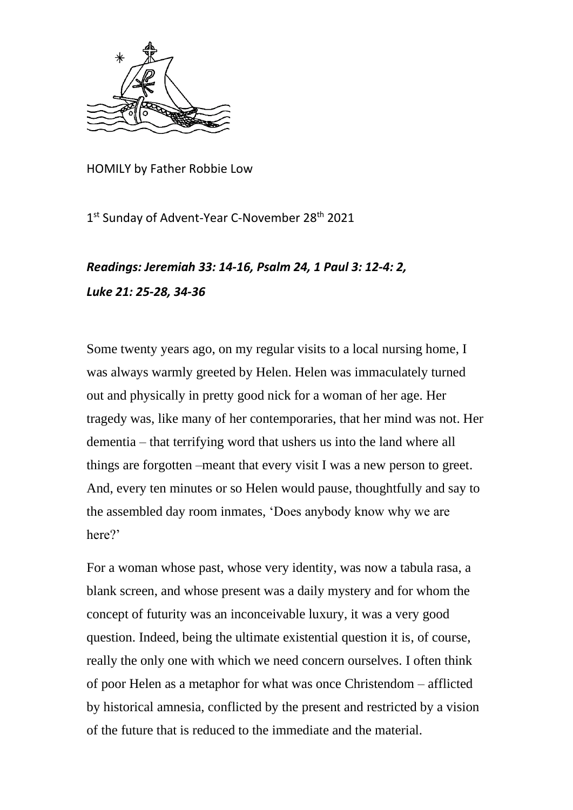

HOMILY by Father Robbie Low

1st Sunday of Advent-Year C-November 28<sup>th</sup> 2021

## *Readings: Jeremiah 33: 14-16, Psalm 24, 1 Paul 3: 12-4: 2, Luke 21: 25-28, 34-36*

Some twenty years ago, on my regular visits to a local nursing home, I was always warmly greeted by Helen. Helen was immaculately turned out and physically in pretty good nick for a woman of her age. Her tragedy was, like many of her contemporaries, that her mind was not. Her dementia – that terrifying word that ushers us into the land where all things are forgotten –meant that every visit I was a new person to greet. And, every ten minutes or so Helen would pause, thoughtfully and say to the assembled day room inmates, 'Does anybody know why we are here?'

For a woman whose past, whose very identity, was now a tabula rasa, a blank screen, and whose present was a daily mystery and for whom the concept of futurity was an inconceivable luxury, it was a very good question. Indeed, being the ultimate existential question it is, of course, really the only one with which we need concern ourselves. I often think of poor Helen as a metaphor for what was once Christendom – afflicted by historical amnesia, conflicted by the present and restricted by a vision of the future that is reduced to the immediate and the material.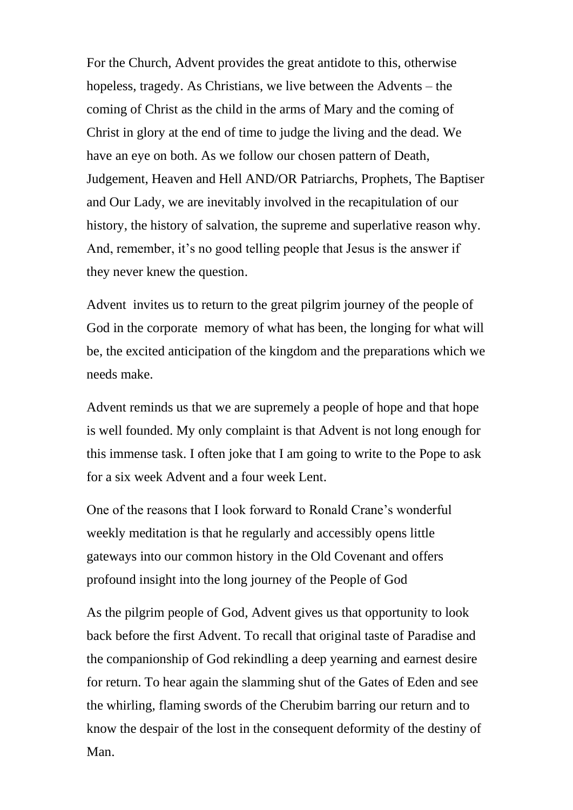For the Church, Advent provides the great antidote to this, otherwise hopeless, tragedy. As Christians, we live between the Advents – the coming of Christ as the child in the arms of Mary and the coming of Christ in glory at the end of time to judge the living and the dead. We have an eye on both. As we follow our chosen pattern of Death, Judgement, Heaven and Hell AND/OR Patriarchs, Prophets, The Baptiser and Our Lady, we are inevitably involved in the recapitulation of our history, the history of salvation, the supreme and superlative reason why. And, remember, it's no good telling people that Jesus is the answer if they never knew the question.

Advent invites us to return to the great pilgrim journey of the people of God in the corporate memory of what has been, the longing for what will be, the excited anticipation of the kingdom and the preparations which we needs make.

Advent reminds us that we are supremely a people of hope and that hope is well founded. My only complaint is that Advent is not long enough for this immense task. I often joke that I am going to write to the Pope to ask for a six week Advent and a four week Lent.

One of the reasons that I look forward to Ronald Crane's wonderful weekly meditation is that he regularly and accessibly opens little gateways into our common history in the Old Covenant and offers profound insight into the long journey of the People of God

As the pilgrim people of God, Advent gives us that opportunity to look back before the first Advent. To recall that original taste of Paradise and the companionship of God rekindling a deep yearning and earnest desire for return. To hear again the slamming shut of the Gates of Eden and see the whirling, flaming swords of the Cherubim barring our return and to know the despair of the lost in the consequent deformity of the destiny of Man.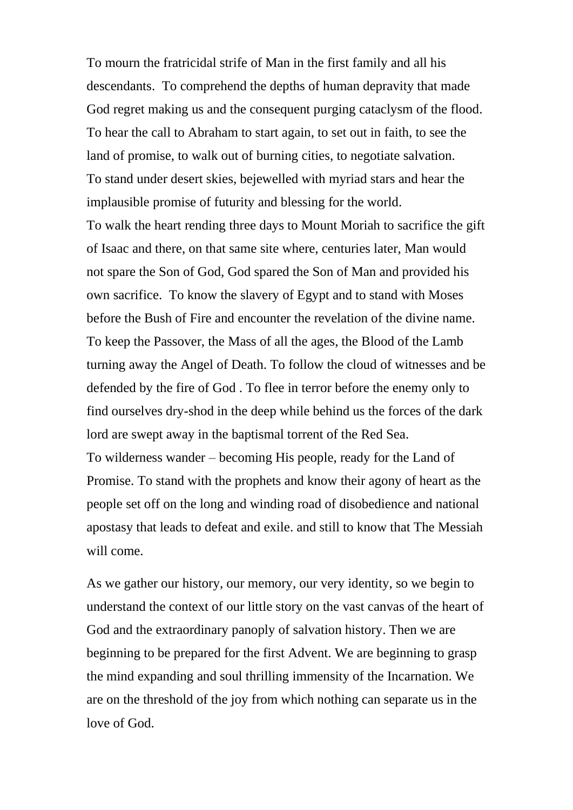To mourn the fratricidal strife of Man in the first family and all his descendants. To comprehend the depths of human depravity that made God regret making us and the consequent purging cataclysm of the flood. To hear the call to Abraham to start again, to set out in faith, to see the land of promise, to walk out of burning cities, to negotiate salvation. To stand under desert skies, bejewelled with myriad stars and hear the implausible promise of futurity and blessing for the world.

To walk the heart rending three days to Mount Moriah to sacrifice the gift of Isaac and there, on that same site where, centuries later, Man would not spare the Son of God, God spared the Son of Man and provided his own sacrifice. To know the slavery of Egypt and to stand with Moses before the Bush of Fire and encounter the revelation of the divine name. To keep the Passover, the Mass of all the ages, the Blood of the Lamb turning away the Angel of Death. To follow the cloud of witnesses and be defended by the fire of God . To flee in terror before the enemy only to find ourselves dry-shod in the deep while behind us the forces of the dark lord are swept away in the baptismal torrent of the Red Sea. To wilderness wander – becoming His people, ready for the Land of Promise. To stand with the prophets and know their agony of heart as the people set off on the long and winding road of disobedience and national apostasy that leads to defeat and exile. and still to know that The Messiah will come.

As we gather our history, our memory, our very identity, so we begin to understand the context of our little story on the vast canvas of the heart of God and the extraordinary panoply of salvation history. Then we are beginning to be prepared for the first Advent. We are beginning to grasp the mind expanding and soul thrilling immensity of the Incarnation. We are on the threshold of the joy from which nothing can separate us in the love of God.